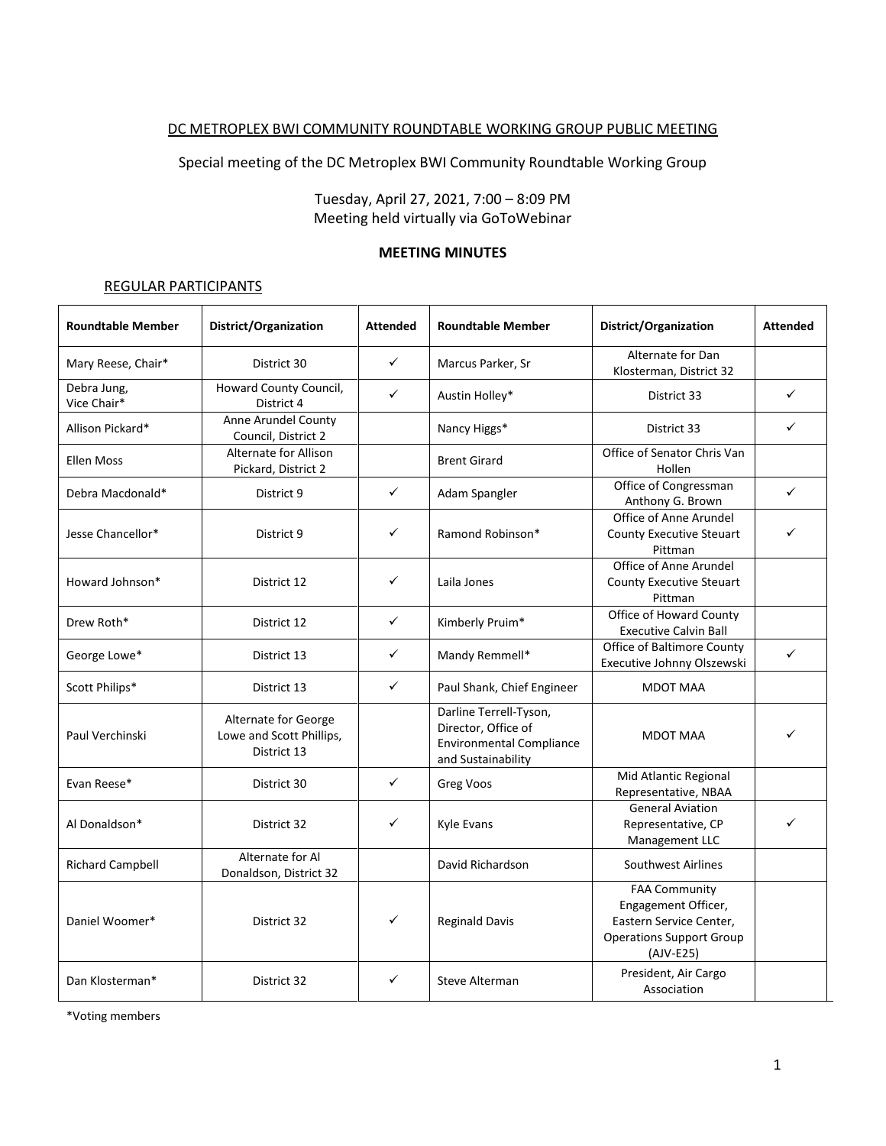## DC METROPLEX BWI COMMUNITY ROUNDTABLE WORKING GROUP PUBLIC MEETING

Special meeting of the DC Metroplex BWI Community Roundtable Working Group

Tuesday, April 27, 2021, 7:00 – 8:09 PM Meeting held virtually via GoToWebinar

#### **MEETING MINUTES**

#### REGULAR PARTICIPANTS

| <b>Roundtable Member</b>   | District/Organization                                           | <b>Attended</b> | <b>Roundtable Member</b>                                                                               | District/Organization                                                                                                  | <b>Attended</b> |
|----------------------------|-----------------------------------------------------------------|-----------------|--------------------------------------------------------------------------------------------------------|------------------------------------------------------------------------------------------------------------------------|-----------------|
| Mary Reese, Chair*         | District 30                                                     | $\checkmark$    | Marcus Parker, Sr                                                                                      | Alternate for Dan<br>Klosterman, District 32                                                                           |                 |
| Debra Jung,<br>Vice Chair* | Howard County Council,<br>District 4                            | $\checkmark$    | Austin Holley*                                                                                         | District 33                                                                                                            | ✓               |
| Allison Pickard*           | Anne Arundel County<br>Council, District 2                      |                 | Nancy Higgs*                                                                                           | District 33                                                                                                            | ✓               |
| <b>Ellen Moss</b>          | Alternate for Allison<br>Pickard, District 2                    |                 | <b>Brent Girard</b>                                                                                    | Office of Senator Chris Van<br>Hollen                                                                                  |                 |
| Debra Macdonald*           | District 9                                                      | $\checkmark$    | Adam Spangler                                                                                          | Office of Congressman<br>Anthony G. Brown                                                                              | ✓               |
| Jesse Chancellor*          | District 9                                                      | ✓               | Ramond Robinson*                                                                                       | Office of Anne Arundel<br><b>County Executive Steuart</b><br>Pittman                                                   | ✓               |
| Howard Johnson*            | District 12                                                     | ✓               | Laila Jones                                                                                            | Office of Anne Arundel<br><b>County Executive Steuart</b><br>Pittman                                                   |                 |
| Drew Roth*                 | District 12                                                     | $\checkmark$    | Kimberly Pruim*                                                                                        | Office of Howard County<br><b>Executive Calvin Ball</b>                                                                |                 |
| George Lowe*               | District 13                                                     | $\checkmark$    | Mandy Remmell*                                                                                         | <b>Office of Baltimore County</b><br>Executive Johnny Olszewski                                                        | ✓               |
| Scott Philips*             | District 13                                                     | ✓               | Paul Shank, Chief Engineer                                                                             | MDOT MAA                                                                                                               |                 |
| Paul Verchinski            | Alternate for George<br>Lowe and Scott Phillips,<br>District 13 |                 | Darline Terrell-Tyson,<br>Director, Office of<br><b>Environmental Compliance</b><br>and Sustainability | <b>MDOT MAA</b>                                                                                                        | ✓               |
| Evan Reese*                | District 30                                                     | $\checkmark$    | Greg Voos                                                                                              | Mid Atlantic Regional<br>Representative, NBAA                                                                          |                 |
| Al Donaldson*              | District 32                                                     | ✓               | <b>Kyle Evans</b>                                                                                      | <b>General Aviation</b><br>Representative, CP<br>Management LLC                                                        | ✓               |
| <b>Richard Campbell</b>    | Alternate for Al<br>Donaldson, District 32                      |                 | David Richardson                                                                                       | <b>Southwest Airlines</b>                                                                                              |                 |
| Daniel Woomer*             | District 32                                                     | ✓               | <b>Reginald Davis</b>                                                                                  | <b>FAA Community</b><br>Engagement Officer,<br>Eastern Service Center,<br><b>Operations Support Group</b><br>(AJV-E25) |                 |
| Dan Klosterman*            | District 32                                                     | ✓               | Steve Alterman                                                                                         | President, Air Cargo<br>Association                                                                                    |                 |

\*Voting members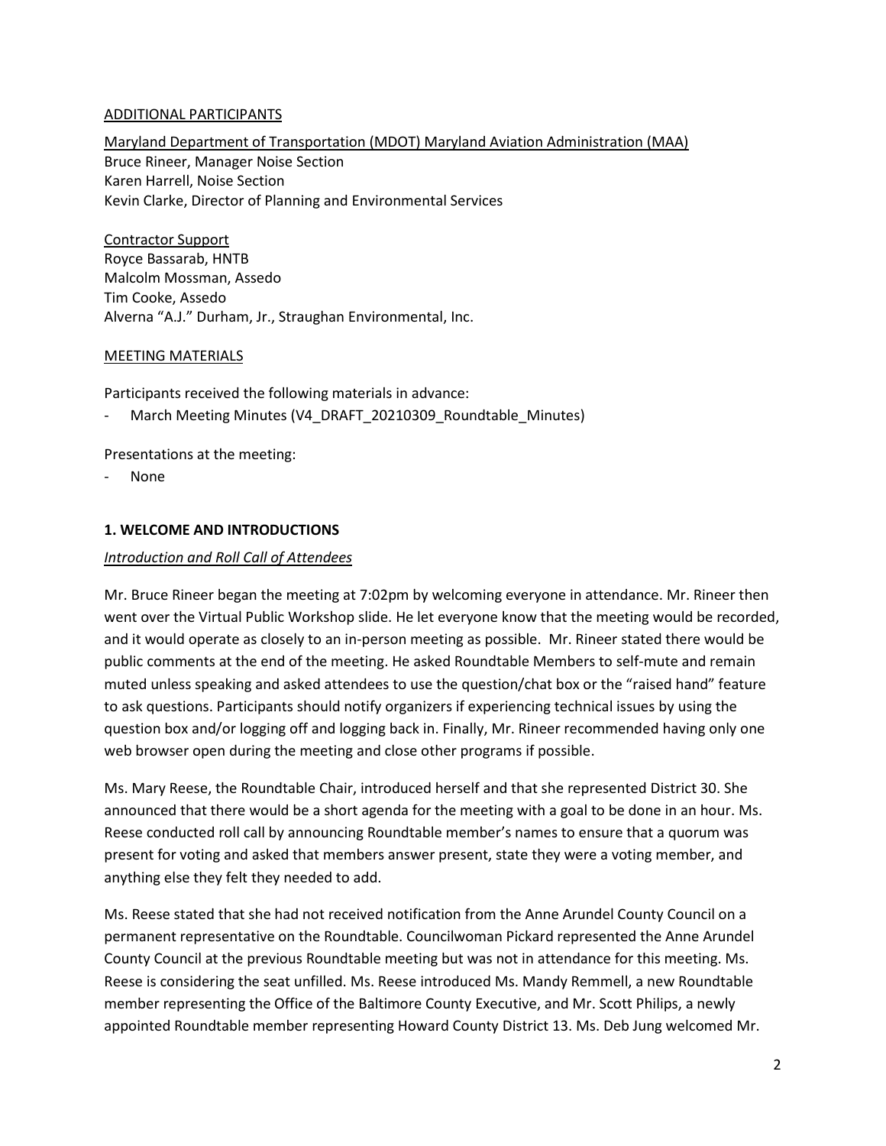## ADDITIONAL PARTICIPANTS

Maryland Department of Transportation (MDOT) Maryland Aviation Administration (MAA) Bruce Rineer, Manager Noise Section Karen Harrell, Noise Section Kevin Clarke, Director of Planning and Environmental Services

Contractor Support Royce Bassarab, HNTB Malcolm Mossman, Assedo Tim Cooke, Assedo Alverna "A.J." Durham, Jr., Straughan Environmental, Inc.

## MEETING MATERIALS

Participants received the following materials in advance:

March Meeting Minutes (V4\_DRAFT\_20210309\_Roundtable\_Minutes)

Presentations at the meeting:

None

#### **1. WELCOME AND INTRODUCTIONS**

#### *Introduction and Roll Call of Attendees*

Mr. Bruce Rineer began the meeting at 7:02pm by welcoming everyone in attendance. Mr. Rineer then went over the Virtual Public Workshop slide. He let everyone know that the meeting would be recorded, and it would operate as closely to an in-person meeting as possible. Mr. Rineer stated there would be public comments at the end of the meeting. He asked Roundtable Members to self-mute and remain muted unless speaking and asked attendees to use the question/chat box or the "raised hand" feature to ask questions. Participants should notify organizers if experiencing technical issues by using the question box and/or logging off and logging back in. Finally, Mr. Rineer recommended having only one web browser open during the meeting and close other programs if possible.

Ms. Mary Reese, the Roundtable Chair, introduced herself and that she represented District 30. She announced that there would be a short agenda for the meeting with a goal to be done in an hour. Ms. Reese conducted roll call by announcing Roundtable member's names to ensure that a quorum was present for voting and asked that members answer present, state they were a voting member, and anything else they felt they needed to add.

Ms. Reese stated that she had not received notification from the Anne Arundel County Council on a permanent representative on the Roundtable. Councilwoman Pickard represented the Anne Arundel County Council at the previous Roundtable meeting but was not in attendance for this meeting. Ms. Reese is considering the seat unfilled. Ms. Reese introduced Ms. Mandy Remmell, a new Roundtable member representing the Office of the Baltimore County Executive, and Mr. Scott Philips, a newly appointed Roundtable member representing Howard County District 13. Ms. Deb Jung welcomed Mr.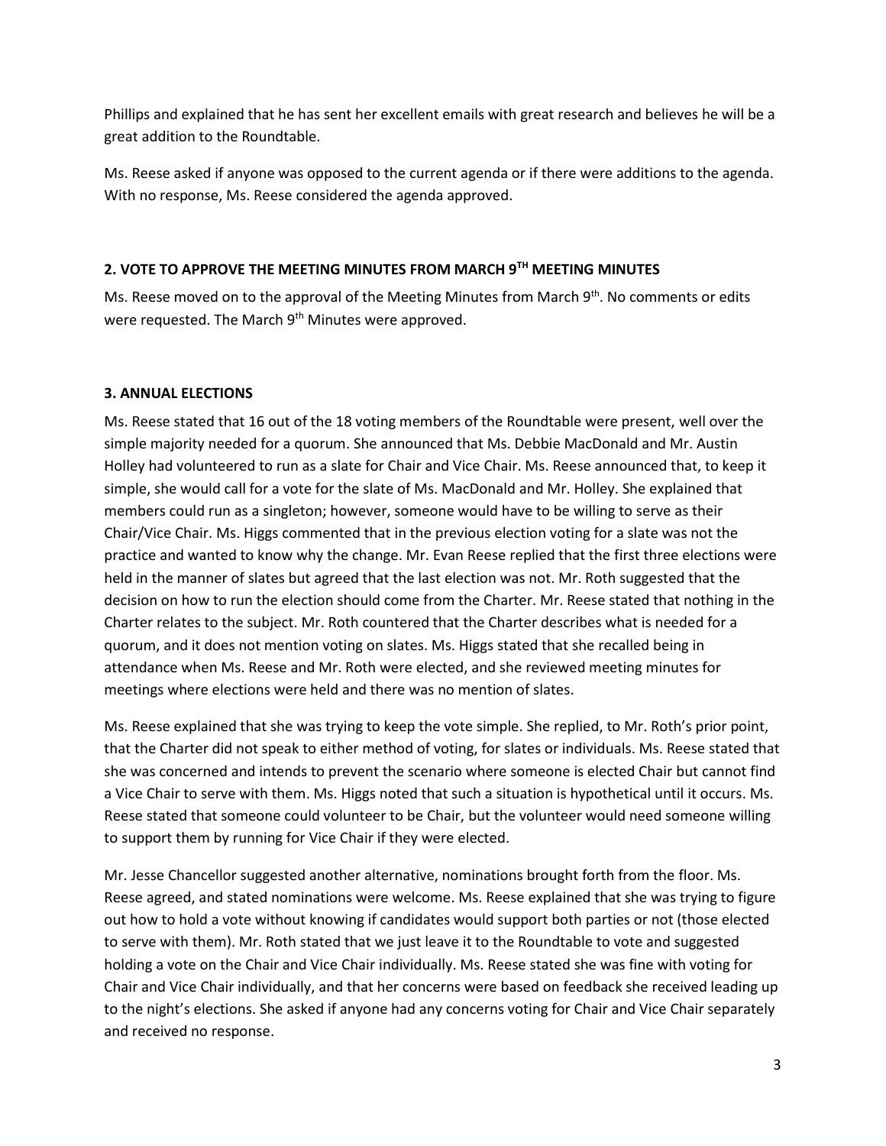Phillips and explained that he has sent her excellent emails with great research and believes he will be a great addition to the Roundtable.

Ms. Reese asked if anyone was opposed to the current agenda or if there were additions to the agenda. With no response, Ms. Reese considered the agenda approved.

# **2. VOTE TO APPROVE THE MEETING MINUTES FROM MARCH 9TH MEETING MINUTES**

Ms. Reese moved on to the approval of the Meeting Minutes from March 9<sup>th</sup>. No comments or edits were requested. The March 9<sup>th</sup> Minutes were approved.

# **3. ANNUAL ELECTIONS**

Ms. Reese stated that 16 out of the 18 voting members of the Roundtable were present, well over the simple majority needed for a quorum. She announced that Ms. Debbie MacDonald and Mr. Austin Holley had volunteered to run as a slate for Chair and Vice Chair. Ms. Reese announced that, to keep it simple, she would call for a vote for the slate of Ms. MacDonald and Mr. Holley. She explained that members could run as a singleton; however, someone would have to be willing to serve as their Chair/Vice Chair. Ms. Higgs commented that in the previous election voting for a slate was not the practice and wanted to know why the change. Mr. Evan Reese replied that the first three elections were held in the manner of slates but agreed that the last election was not. Mr. Roth suggested that the decision on how to run the election should come from the Charter. Mr. Reese stated that nothing in the Charter relates to the subject. Mr. Roth countered that the Charter describes what is needed for a quorum, and it does not mention voting on slates. Ms. Higgs stated that she recalled being in attendance when Ms. Reese and Mr. Roth were elected, and she reviewed meeting minutes for meetings where elections were held and there was no mention of slates.

Ms. Reese explained that she was trying to keep the vote simple. She replied, to Mr. Roth's prior point, that the Charter did not speak to either method of voting, for slates or individuals. Ms. Reese stated that she was concerned and intends to prevent the scenario where someone is elected Chair but cannot find a Vice Chair to serve with them. Ms. Higgs noted that such a situation is hypothetical until it occurs. Ms. Reese stated that someone could volunteer to be Chair, but the volunteer would need someone willing to support them by running for Vice Chair if they were elected.

Mr. Jesse Chancellor suggested another alternative, nominations brought forth from the floor. Ms. Reese agreed, and stated nominations were welcome. Ms. Reese explained that she was trying to figure out how to hold a vote without knowing if candidates would support both parties or not (those elected to serve with them). Mr. Roth stated that we just leave it to the Roundtable to vote and suggested holding a vote on the Chair and Vice Chair individually. Ms. Reese stated she was fine with voting for Chair and Vice Chair individually, and that her concerns were based on feedback she received leading up to the night's elections. She asked if anyone had any concerns voting for Chair and Vice Chair separately and received no response.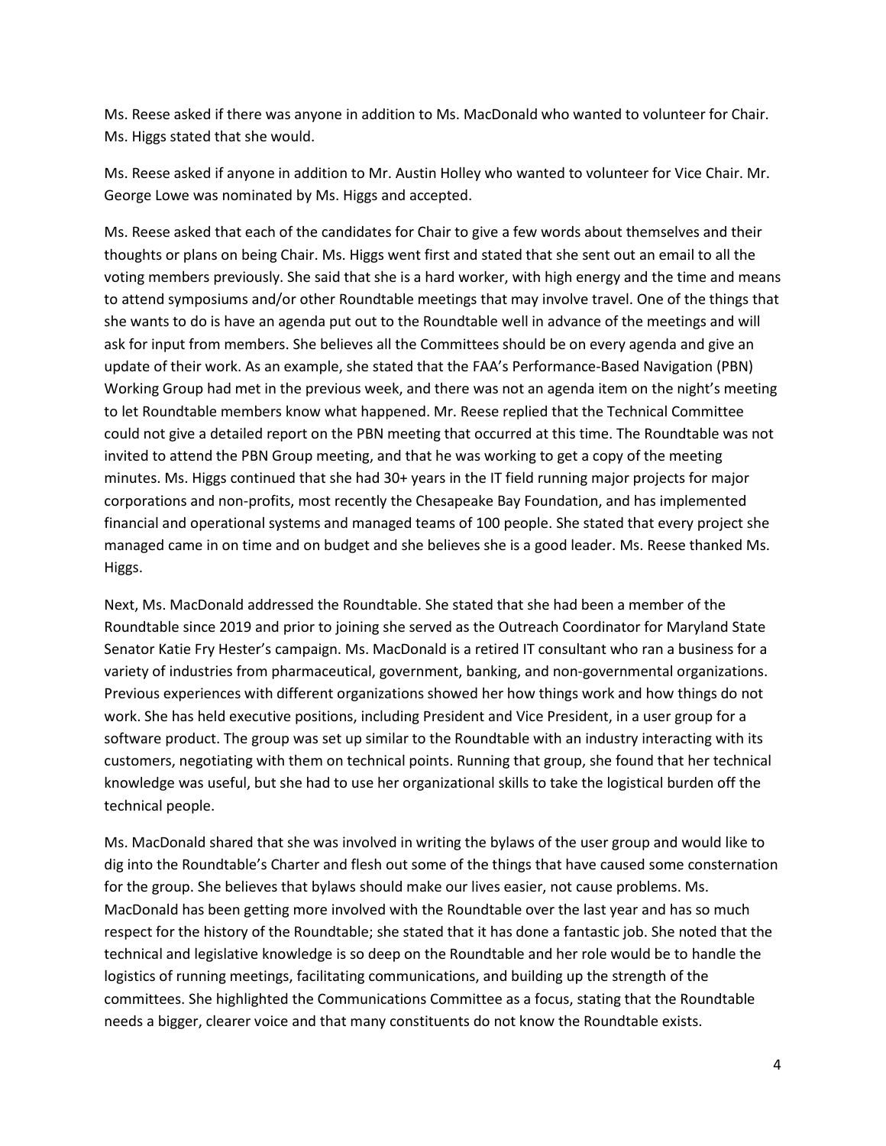Ms. Reese asked if there was anyone in addition to Ms. MacDonald who wanted to volunteer for Chair. Ms. Higgs stated that she would.

Ms. Reese asked if anyone in addition to Mr. Austin Holley who wanted to volunteer for Vice Chair. Mr. George Lowe was nominated by Ms. Higgs and accepted.

Ms. Reese asked that each of the candidates for Chair to give a few words about themselves and their thoughts or plans on being Chair. Ms. Higgs went first and stated that she sent out an email to all the voting members previously. She said that she is a hard worker, with high energy and the time and means to attend symposiums and/or other Roundtable meetings that may involve travel. One of the things that she wants to do is have an agenda put out to the Roundtable well in advance of the meetings and will ask for input from members. She believes all the Committees should be on every agenda and give an update of their work. As an example, she stated that the FAA's Performance-Based Navigation (PBN) Working Group had met in the previous week, and there was not an agenda item on the night's meeting to let Roundtable members know what happened. Mr. Reese replied that the Technical Committee could not give a detailed report on the PBN meeting that occurred at this time. The Roundtable was not invited to attend the PBN Group meeting, and that he was working to get a copy of the meeting minutes. Ms. Higgs continued that she had 30+ years in the IT field running major projects for major corporations and non-profits, most recently the Chesapeake Bay Foundation, and has implemented financial and operational systems and managed teams of 100 people. She stated that every project she managed came in on time and on budget and she believes she is a good leader. Ms. Reese thanked Ms. Higgs.

Next, Ms. MacDonald addressed the Roundtable. She stated that she had been a member of the Roundtable since 2019 and prior to joining she served as the Outreach Coordinator for Maryland State Senator Katie Fry Hester's campaign. Ms. MacDonald is a retired IT consultant who ran a business for a variety of industries from pharmaceutical, government, banking, and non-governmental organizations. Previous experiences with different organizations showed her how things work and how things do not work. She has held executive positions, including President and Vice President, in a user group for a software product. The group was set up similar to the Roundtable with an industry interacting with its customers, negotiating with them on technical points. Running that group, she found that her technical knowledge was useful, but she had to use her organizational skills to take the logistical burden off the technical people.

Ms. MacDonald shared that she was involved in writing the bylaws of the user group and would like to dig into the Roundtable's Charter and flesh out some of the things that have caused some consternation for the group. She believes that bylaws should make our lives easier, not cause problems. Ms. MacDonald has been getting more involved with the Roundtable over the last year and has so much respect for the history of the Roundtable; she stated that it has done a fantastic job. She noted that the technical and legislative knowledge is so deep on the Roundtable and her role would be to handle the logistics of running meetings, facilitating communications, and building up the strength of the committees. She highlighted the Communications Committee as a focus, stating that the Roundtable needs a bigger, clearer voice and that many constituents do not know the Roundtable exists.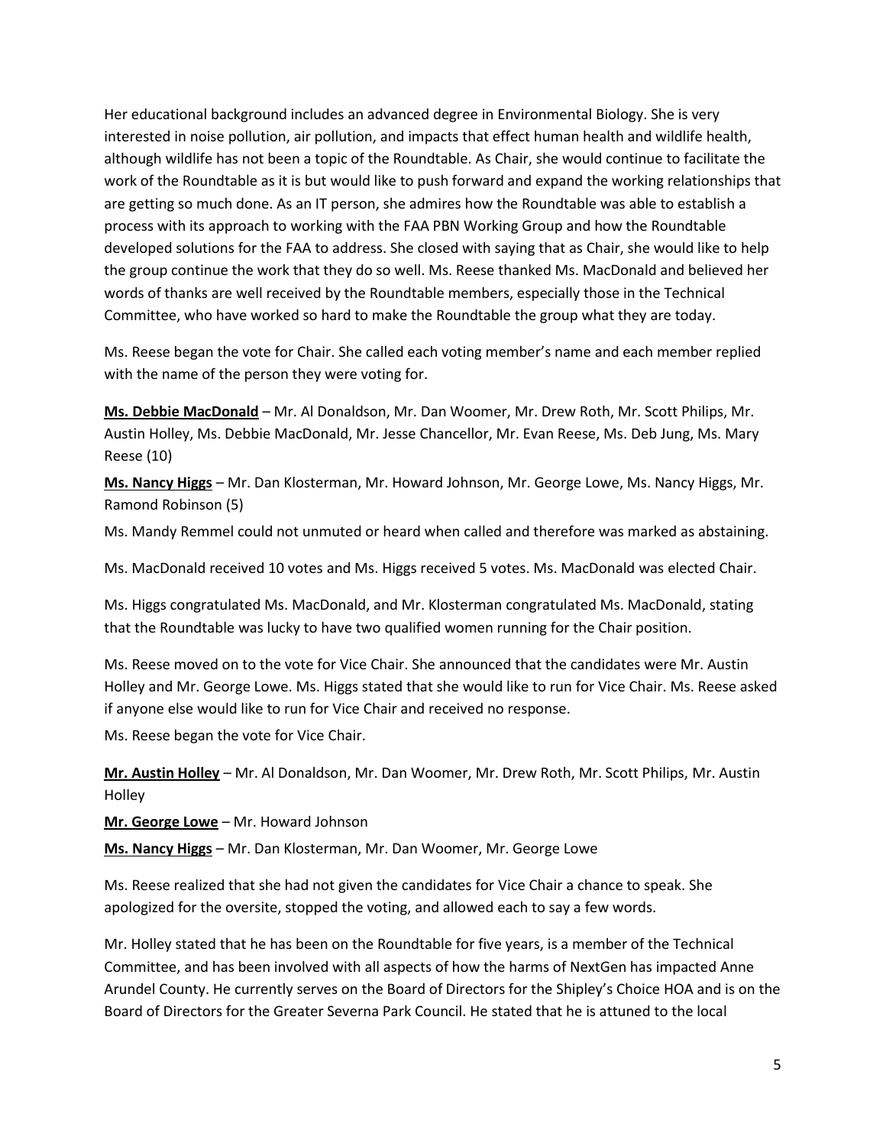Her educational background includes an advanced degree in Environmental Biology. She is very interested in noise pollution, air pollution, and impacts that effect human health and wildlife health, although wildlife has not been a topic of the Roundtable. As Chair, she would continue to facilitate the work of the Roundtable as it is but would like to push forward and expand the working relationships that are getting so much done. As an IT person, she admires how the Roundtable was able to establish a process with its approach to working with the FAA PBN Working Group and how the Roundtable developed solutions for the FAA to address. She closed with saying that as Chair, she would like to help the group continue the work that they do so well. Ms. Reese thanked Ms. MacDonald and believed her words of thanks are well received by the Roundtable members, especially those in the Technical Committee, who have worked so hard to make the Roundtable the group what they are today.

Ms. Reese began the vote for Chair. She called each voting member's name and each member replied with the name of the person they were voting for.

**Ms. Debbie MacDonald** – Mr. Al Donaldson, Mr. Dan Woomer, Mr. Drew Roth, Mr. Scott Philips, Mr. Austin Holley, Ms. Debbie MacDonald, Mr. Jesse Chancellor, Mr. Evan Reese, Ms. Deb Jung, Ms. Mary Reese (10)

**Ms. Nancy Higgs** – Mr. Dan Klosterman, Mr. Howard Johnson, Mr. George Lowe, Ms. Nancy Higgs, Mr. Ramond Robinson (5)

Ms. Mandy Remmel could not unmuted or heard when called and therefore was marked as abstaining.

Ms. MacDonald received 10 votes and Ms. Higgs received 5 votes. Ms. MacDonald was elected Chair.

Ms. Higgs congratulated Ms. MacDonald, and Mr. Klosterman congratulated Ms. MacDonald, stating that the Roundtable was lucky to have two qualified women running for the Chair position.

Ms. Reese moved on to the vote for Vice Chair. She announced that the candidates were Mr. Austin Holley and Mr. George Lowe. Ms. Higgs stated that she would like to run for Vice Chair. Ms. Reese asked if anyone else would like to run for Vice Chair and received no response.

Ms. Reese began the vote for Vice Chair.

**Mr. Austin Holley** – Mr. Al Donaldson, Mr. Dan Woomer, Mr. Drew Roth, Mr. Scott Philips, Mr. Austin Holley

**Mr. George Lowe** – Mr. Howard Johnson

**Ms. Nancy Higgs** – Mr. Dan Klosterman, Mr. Dan Woomer, Mr. George Lowe

Ms. Reese realized that she had not given the candidates for Vice Chair a chance to speak. She apologized for the oversite, stopped the voting, and allowed each to say a few words.

Mr. Holley stated that he has been on the Roundtable for five years, is a member of the Technical Committee, and has been involved with all aspects of how the harms of NextGen has impacted Anne Arundel County. He currently serves on the Board of Directors for the Shipley's Choice HOA and is on the Board of Directors for the Greater Severna Park Council. He stated that he is attuned to the local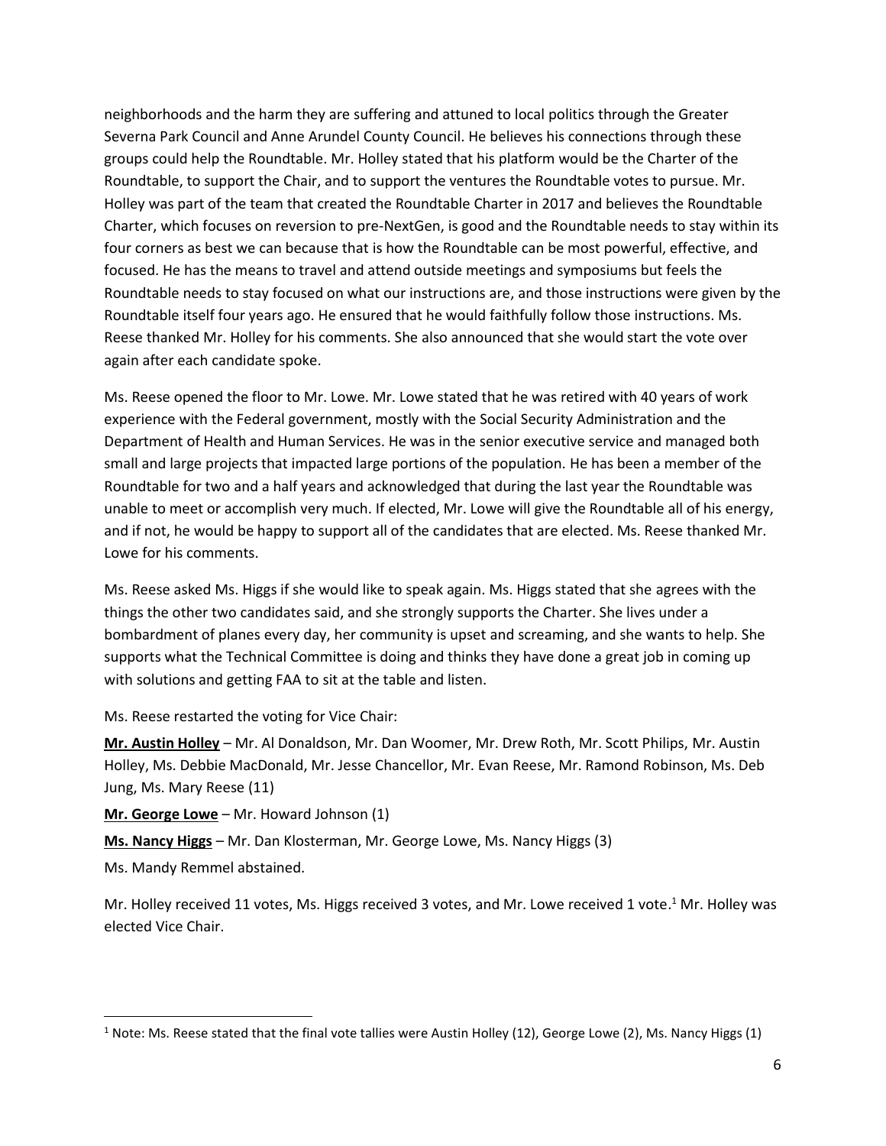neighborhoods and the harm they are suffering and attuned to local politics through the Greater Severna Park Council and Anne Arundel County Council. He believes his connections through these groups could help the Roundtable. Mr. Holley stated that his platform would be the Charter of the Roundtable, to support the Chair, and to support the ventures the Roundtable votes to pursue. Mr. Holley was part of the team that created the Roundtable Charter in 2017 and believes the Roundtable Charter, which focuses on reversion to pre-NextGen, is good and the Roundtable needs to stay within its four corners as best we can because that is how the Roundtable can be most powerful, effective, and focused. He has the means to travel and attend outside meetings and symposiums but feels the Roundtable needs to stay focused on what our instructions are, and those instructions were given by the Roundtable itself four years ago. He ensured that he would faithfully follow those instructions. Ms. Reese thanked Mr. Holley for his comments. She also announced that she would start the vote over again after each candidate spoke.

Ms. Reese opened the floor to Mr. Lowe. Mr. Lowe stated that he was retired with 40 years of work experience with the Federal government, mostly with the Social Security Administration and the Department of Health and Human Services. He was in the senior executive service and managed both small and large projects that impacted large portions of the population. He has been a member of the Roundtable for two and a half years and acknowledged that during the last year the Roundtable was unable to meet or accomplish very much. If elected, Mr. Lowe will give the Roundtable all of his energy, and if not, he would be happy to support all of the candidates that are elected. Ms. Reese thanked Mr. Lowe for his comments.

Ms. Reese asked Ms. Higgs if she would like to speak again. Ms. Higgs stated that she agrees with the things the other two candidates said, and she strongly supports the Charter. She lives under a bombardment of planes every day, her community is upset and screaming, and she wants to help. She supports what the Technical Committee is doing and thinks they have done a great job in coming up with solutions and getting FAA to sit at the table and listen.

Ms. Reese restarted the voting for Vice Chair:

**Mr. Austin Holley** – Mr. Al Donaldson, Mr. Dan Woomer, Mr. Drew Roth, Mr. Scott Philips, Mr. Austin Holley, Ms. Debbie MacDonald, Mr. Jesse Chancellor, Mr. Evan Reese, Mr. Ramond Robinson, Ms. Deb Jung, Ms. Mary Reese (11)

**Mr. George Lowe** – Mr. Howard Johnson (1)

**Ms. Nancy Higgs** – Mr. Dan Klosterman, Mr. George Lowe, Ms. Nancy Higgs (3)

Ms. Mandy Remmel abstained.

 $\overline{\phantom{a}}$ 

Mr. Holley received 11 votes, Ms. Higgs received 3 votes, and Mr. Lowe received 1 vote.<sup>1</sup> Mr. Holley was elected Vice Chair.

 $1$  Note: Ms. Reese stated that the final vote tallies were Austin Holley (12), George Lowe (2), Ms. Nancy Higgs (1)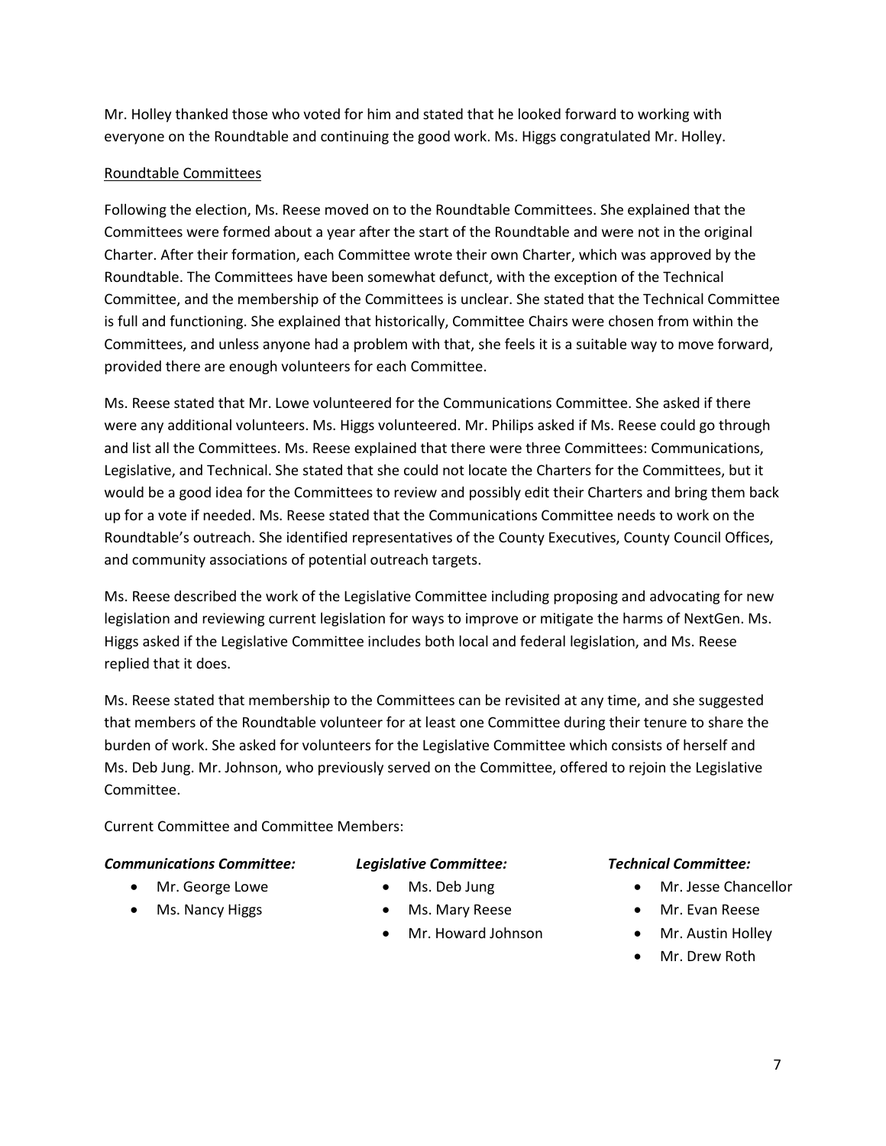Mr. Holley thanked those who voted for him and stated that he looked forward to working with everyone on the Roundtable and continuing the good work. Ms. Higgs congratulated Mr. Holley.

## Roundtable Committees

Following the election, Ms. Reese moved on to the Roundtable Committees. She explained that the Committees were formed about a year after the start of the Roundtable and were not in the original Charter. After their formation, each Committee wrote their own Charter, which was approved by the Roundtable. The Committees have been somewhat defunct, with the exception of the Technical Committee, and the membership of the Committees is unclear. She stated that the Technical Committee is full and functioning. She explained that historically, Committee Chairs were chosen from within the Committees, and unless anyone had a problem with that, she feels it is a suitable way to move forward, provided there are enough volunteers for each Committee.

Ms. Reese stated that Mr. Lowe volunteered for the Communications Committee. She asked if there were any additional volunteers. Ms. Higgs volunteered. Mr. Philips asked if Ms. Reese could go through and list all the Committees. Ms. Reese explained that there were three Committees: Communications, Legislative, and Technical. She stated that she could not locate the Charters for the Committees, but it would be a good idea for the Committees to review and possibly edit their Charters and bring them back up for a vote if needed. Ms. Reese stated that the Communications Committee needs to work on the Roundtable's outreach. She identified representatives of the County Executives, County Council Offices, and community associations of potential outreach targets.

Ms. Reese described the work of the Legislative Committee including proposing and advocating for new legislation and reviewing current legislation for ways to improve or mitigate the harms of NextGen. Ms. Higgs asked if the Legislative Committee includes both local and federal legislation, and Ms. Reese replied that it does.

Ms. Reese stated that membership to the Committees can be revisited at any time, and she suggested that members of the Roundtable volunteer for at least one Committee during their tenure to share the burden of work. She asked for volunteers for the Legislative Committee which consists of herself and Ms. Deb Jung. Mr. Johnson, who previously served on the Committee, offered to rejoin the Legislative Committee.

Current Committee and Committee Members:

## *Communications Committee:*

- Mr. George Lowe
- Ms. Nancy Higgs
- *Legislative Committee:*
	- Ms. Deb Jung
	- Ms. Mary Reese
	- Mr. Howard Johnson

## *Technical Committee:*

- Mr. Jesse Chancellor
- Mr. Evan Reese
- Mr. Austin Holley
- Mr. Drew Roth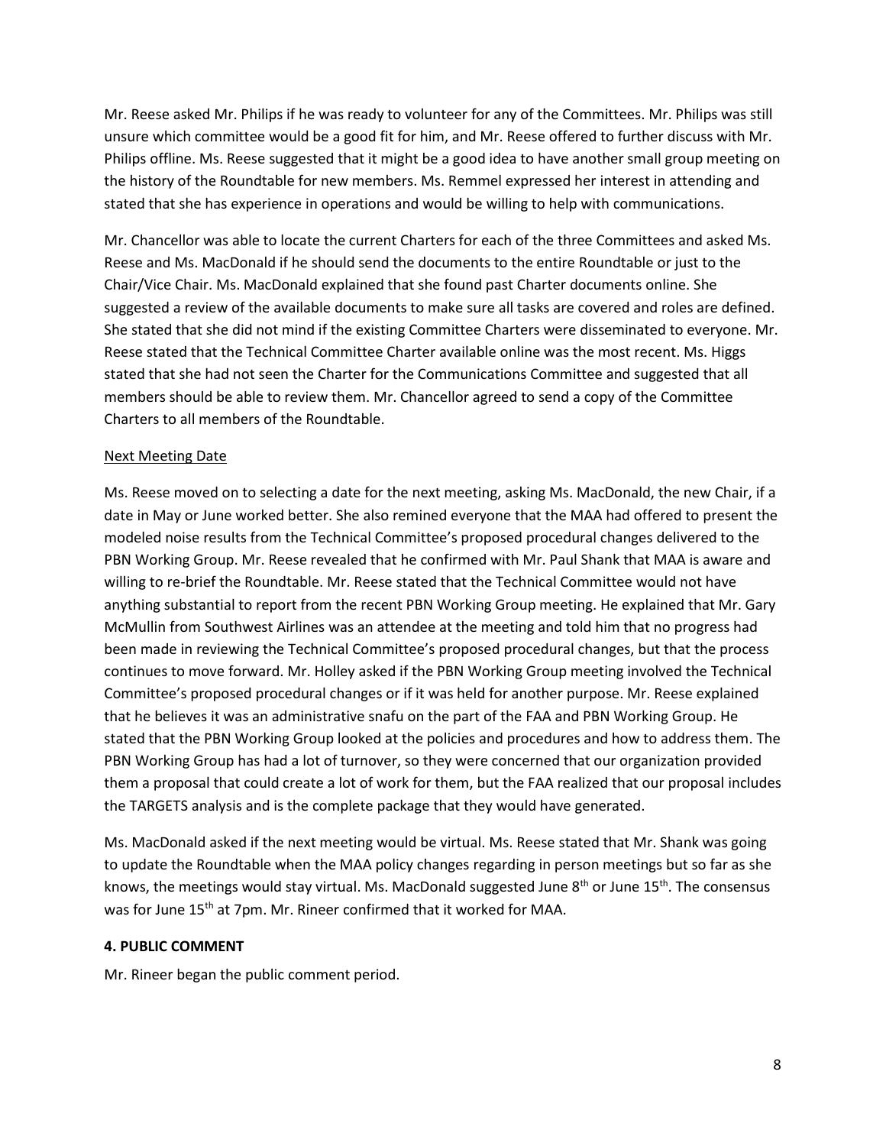Mr. Reese asked Mr. Philips if he was ready to volunteer for any of the Committees. Mr. Philips was still unsure which committee would be a good fit for him, and Mr. Reese offered to further discuss with Mr. Philips offline. Ms. Reese suggested that it might be a good idea to have another small group meeting on the history of the Roundtable for new members. Ms. Remmel expressed her interest in attending and stated that she has experience in operations and would be willing to help with communications.

Mr. Chancellor was able to locate the current Charters for each of the three Committees and asked Ms. Reese and Ms. MacDonald if he should send the documents to the entire Roundtable or just to the Chair/Vice Chair. Ms. MacDonald explained that she found past Charter documents online. She suggested a review of the available documents to make sure all tasks are covered and roles are defined. She stated that she did not mind if the existing Committee Charters were disseminated to everyone. Mr. Reese stated that the Technical Committee Charter available online was the most recent. Ms. Higgs stated that she had not seen the Charter for the Communications Committee and suggested that all members should be able to review them. Mr. Chancellor agreed to send a copy of the Committee Charters to all members of the Roundtable.

## Next Meeting Date

Ms. Reese moved on to selecting a date for the next meeting, asking Ms. MacDonald, the new Chair, if a date in May or June worked better. She also remined everyone that the MAA had offered to present the modeled noise results from the Technical Committee's proposed procedural changes delivered to the PBN Working Group. Mr. Reese revealed that he confirmed with Mr. Paul Shank that MAA is aware and willing to re-brief the Roundtable. Mr. Reese stated that the Technical Committee would not have anything substantial to report from the recent PBN Working Group meeting. He explained that Mr. Gary McMullin from Southwest Airlines was an attendee at the meeting and told him that no progress had been made in reviewing the Technical Committee's proposed procedural changes, but that the process continues to move forward. Mr. Holley asked if the PBN Working Group meeting involved the Technical Committee's proposed procedural changes or if it was held for another purpose. Mr. Reese explained that he believes it was an administrative snafu on the part of the FAA and PBN Working Group. He stated that the PBN Working Group looked at the policies and procedures and how to address them. The PBN Working Group has had a lot of turnover, so they were concerned that our organization provided them a proposal that could create a lot of work for them, but the FAA realized that our proposal includes the TARGETS analysis and is the complete package that they would have generated.

Ms. MacDonald asked if the next meeting would be virtual. Ms. Reese stated that Mr. Shank was going to update the Roundtable when the MAA policy changes regarding in person meetings but so far as she knows, the meetings would stay virtual. Ms. MacDonald suggested June  $8<sup>th</sup>$  or June 15<sup>th</sup>. The consensus was for June 15<sup>th</sup> at 7pm. Mr. Rineer confirmed that it worked for MAA.

# **4. PUBLIC COMMENT**

Mr. Rineer began the public comment period.